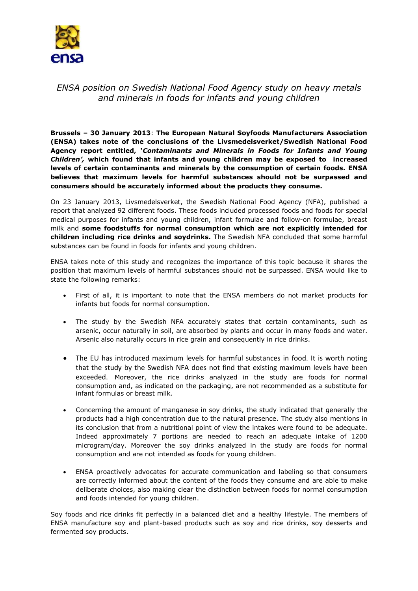

## *ENSA position on Swedish National Food Agency study on heavy metals and minerals in foods for infants and young children*

**Brussels – 30 January 2013**: **The European Natural Soyfoods Manufacturers Association (ENSA) takes note of the conclusions of the Livsmedelsverket/Swedish National Food Agency report entitled, '***Contaminants and Minerals in Foods for Infants and Young Children',* **which found that infants and young children may be exposed to increased levels of certain contaminants and minerals by the consumption of certain foods. ENSA believes that maximum levels for harmful substances should not be surpassed and consumers should be accurately informed about the products they consume.** 

On 23 January 2013, Livsmedelsverket, the Swedish National Food Agency (NFA), published a report that analyzed 92 different foods. These foods included processed foods and foods for special medical purposes for infants and young children, infant formulae and follow-on formulae, breast milk and **some foodstuffs for normal consumption which are not explicitly intended for children including rice drinks and soydrinks.** The Swedish NFA concluded that some harmful substances can be found in foods for infants and young children.

ENSA takes note of this study and recognizes the importance of this topic because it shares the position that maximum levels of harmful substances should not be surpassed. ENSA would like to state the following remarks:

- First of all, it is important to note that the ENSA members do not market products for infants but foods for normal consumption.
- The study by the Swedish NFA accurately states that certain contaminants, such as arsenic, occur naturally in soil, are absorbed by plants and occur in many foods and water. Arsenic also naturally occurs in rice grain and consequently in rice drinks.
- The EU has introduced maximum levels for harmful substances in food. It is worth noting that the study by the Swedish NFA does not find that existing maximum levels have been exceeded. Moreover, the rice drinks analyzed in the study are foods for normal consumption and, as indicated on the packaging, are not recommended as a substitute for infant formulas or breast milk.
- Concerning the amount of manganese in soy drinks, the study indicated that generally the products had a high concentration due to the natural presence. The study also mentions in its conclusion that from a nutritional point of view the intakes were found to be adequate. Indeed approximately 7 portions are needed to reach an adequate intake of 1200 microgram/day. Moreover the soy drinks analyzed in the study are foods for normal consumption and are not intended as foods for young children.
- ENSA proactively advocates for accurate communication and labeling so that consumers are correctly informed about the content of the foods they consume and are able to make deliberate choices, also making clear the distinction between foods for normal consumption and foods intended for young children.

Soy foods and rice drinks fit perfectly in a balanced diet and a healthy lifestyle. The members of ENSA manufacture soy and plant-based products such as soy and rice drinks, soy desserts and fermented soy products.